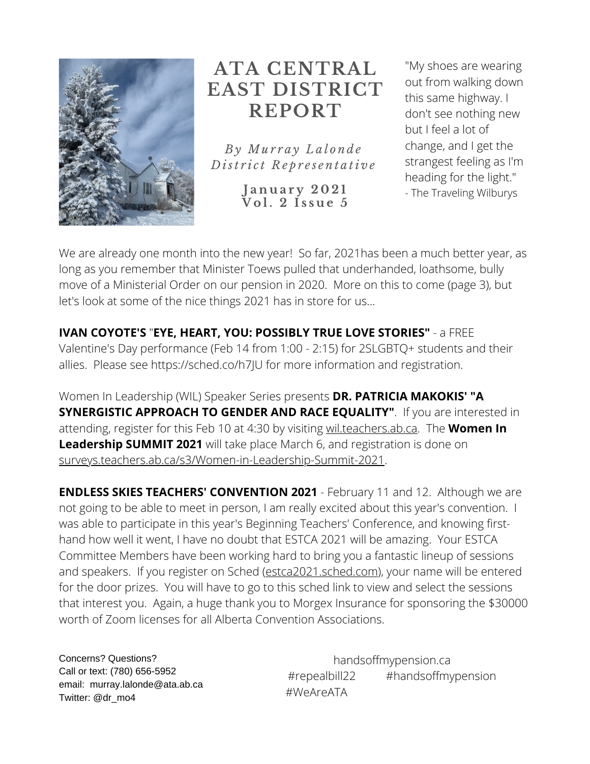

## **ATA CENTRAL EAST DISTRICT REPORT**

*B y Mu r r a y L a l o n d e D ist r i c t R e p r e s e n t a ti v e*

> **J a n u a r y 2 0 2 1 V o l . 2 I s s u e 5**

"My shoes are wearing out from walking down this same highway. I don't see nothing new but I feel a lot of change, and I get the strangest feeling as I'm heading for the light." - The Traveling Wilburys

We are already one month into the new year! So far, 2021has been a much better year, as long as you remember that Minister Toews pulled that underhanded, loathsome, bully move of a Ministerial Order on our pension in 2020. More on this to come (page 3), but let's look at some of the nice things 2021 has in store for us...

**IVAN COYOTE'S** "**EYE, HEART, YOU: POSSIBLY TRUE LOVE STORIES"** - a FREE Valentine's Day performance (Feb 14 from 1:00 - 2:15) for 2SLGBTQ+ students and their allies. Please see https://sched.co/h7JU for more information and registration.

Women In Leadership (WIL) Speaker Series presents **DR. PATRICIA MAKOKIS' "A SYNERGISTIC APPROACH TO GENDER AND RACE EQUALITY".** If you are interested in attending, register for this Feb 10 at 4:30 by visiting wil.teachers.ab.ca. The **Women In Leadership SUMMIT 2021** will take place March 6, and registration is done on surveys.teachers.ab.ca/s3/Women-in-Leadership-Summit-2021.

**ENDLESS SKIES TEACHERS' CONVENTION 2021** - February 11 and 12. Although we are not going to be able to meet in person, I am really excited about this year's convention. I was able to participate in this year's Beginning Teachers' Conference, and knowing firsthand how well it went, I have no doubt that ESTCA 2021 will be amazing. Your ESTCA Committee Members have been working hard to bring you a fantastic lineup of sessions and speakers. If you register on Sched (estca2021.sched.com), your name will be entered for the door prizes. You will have to go to this sched link to view and select the sessions that interest you. Again, a huge thank you to Morgex Insurance for sponsoring the \$30000 worth of Zoom licenses for all Alberta Convention Associations.

Concerns? Questions? Call or text: (780) 656-5952 email: murray.lalonde@ata.ab.ca Twitter: @dr\_mo4

handsoffmypension.ca #repealbill22 #handsoffmypension #WeAreATA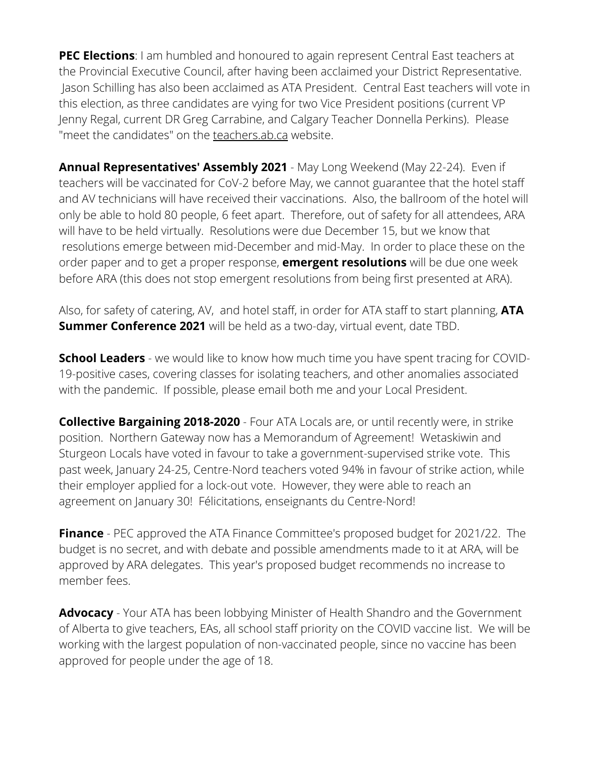**PEC Elections**: I am humbled and honoured to again represent Central East teachers at the Provincial Executive Council, after having been acclaimed your District Representative. Jason Schilling has also been acclaimed as ATA President. Central East teachers will vote in this election, as three candidates are vying for two Vice President positions (current VP Jenny Regal, current DR Greg Carrabine, and Calgary Teacher Donnella Perkins). Please "meet the candidates" on the teachers.ab.ca website.

**Annual Representatives' Assembly 2021** - May Long Weekend (May 22-24). Even if teachers will be vaccinated for CoV-2 before May, we cannot guarantee that the hotel staff and AV technicians will have received their vaccinations. Also, the ballroom of the hotel will only be able to hold 80 people, 6 feet apart. Therefore, out of safety for all attendees, ARA will have to be held virtually. Resolutions were due December 15, but we know that resolutions emerge between mid-December and mid-May. In order to place these on the order paper and to get a proper response, **emergent resolutions** will be due one week before ARA (this does not stop emergent resolutions from being first presented at ARA).

Also, for safety of catering, AV, and hotel staff, in order for ATA staff to start planning, **ATA Summer Conference 2021** will be held as a two-day, virtual event, date TBD.

**School Leaders** - we would like to know how much time you have spent tracing for COVID-19-positive cases, covering classes for isolating teachers, and other anomalies associated with the pandemic. If possible, please email both me and your Local President.

**Collective Bargaining 2018-2020** - Four ATA Locals are, or until recently were, in strike position. Northern Gateway now has a Memorandum of Agreement! Wetaskiwin and Sturgeon Locals have voted in favour to take a government-supervised strike vote. This past week, January 24-25, Centre-Nord teachers voted 94% in favour of strike action, while their employer applied for a lock-out vote. However, they were able to reach an agreement on January 30! Félicitations, enseignants du Centre-Nord!

**Finance** - PEC approved the ATA Finance Committee's proposed budget for 2021/22. The budget is no secret, and with debate and possible amendments made to it at ARA, will be approved by ARA delegates. This year's proposed budget recommends no increase to member fees.

**Advocacy** - Your ATA has been lobbying Minister of Health Shandro and the Government of Alberta to give teachers, EAs, all school staff priority on the COVID vaccine list. We will be working with the largest population of non-vaccinated people, since no vaccine has been approved for people under the age of 18.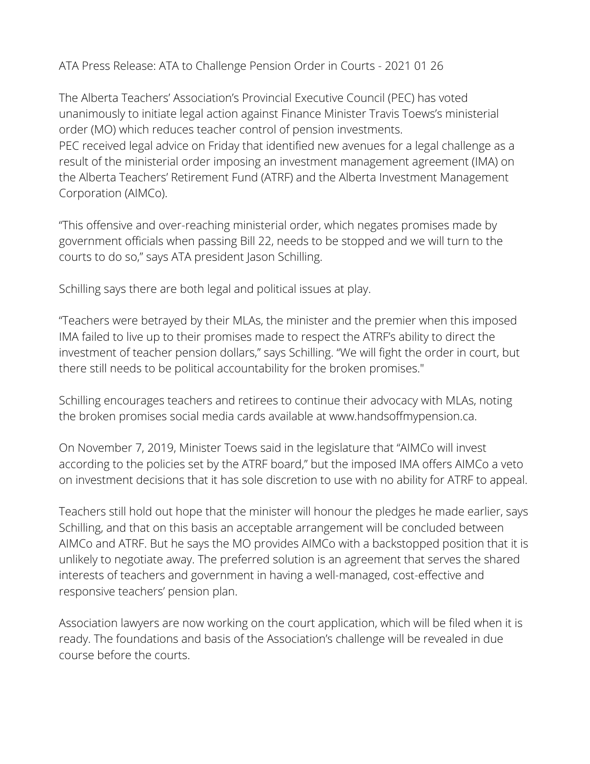ATA Press Release: ATA to Challenge Pension Order in Courts - 2021 01 26

The Alberta Teachers' Association's Provincial Executive Council (PEC) has voted unanimously to initiate legal action against Finance Minister Travis Toews's ministerial order (MO) which reduces teacher control of pension investments. PEC received legal advice on Friday that identified new avenues for a legal challenge as a result of the ministerial order imposing an investment management agreement (IMA) on the Alberta Teachers' Retirement Fund (ATRF) and the Alberta Investment Management Corporation (AIMCo).

"This offensive and over-reaching ministerial order, which negates promises made by government officials when passing Bill 22, needs to be stopped and we will turn to the courts to do so," says ATA president Jason Schilling.

Schilling says there are both legal and political issues at play.

"Teachers were betrayed by their MLAs, the minister and the premier when this imposed IMA failed to live up to their promises made to respect the ATRF's ability to direct the investment of teacher pension dollars," says Schilling. "We will fight the order in court, but there still needs to be political accountability for the broken promises."

Schilling encourages teachers and retirees to continue their advocacy with MLAs, noting the broken promises social media cards available at www.handsoffmypension.ca.

On November 7, 2019, Minister Toews said in the legislature that "AIMCo will invest according to the policies set by the ATRF board," but the imposed IMA offers AIMCo a veto on investment decisions that it has sole discretion to use with no ability for ATRF to appeal.

Teachers still hold out hope that the minister will honour the pledges he made earlier, says Schilling, and that on this basis an acceptable arrangement will be concluded between AIMCo and ATRF. But he says the MO provides AIMCo with a backstopped position that it is unlikely to negotiate away. The preferred solution is an agreement that serves the shared interests of teachers and government in having a well-managed, cost-effective and responsive teachers' pension plan.

Association lawyers are now working on the court application, which will be filed when it is ready. The foundations and basis of the Association's challenge will be revealed in due course before the courts.